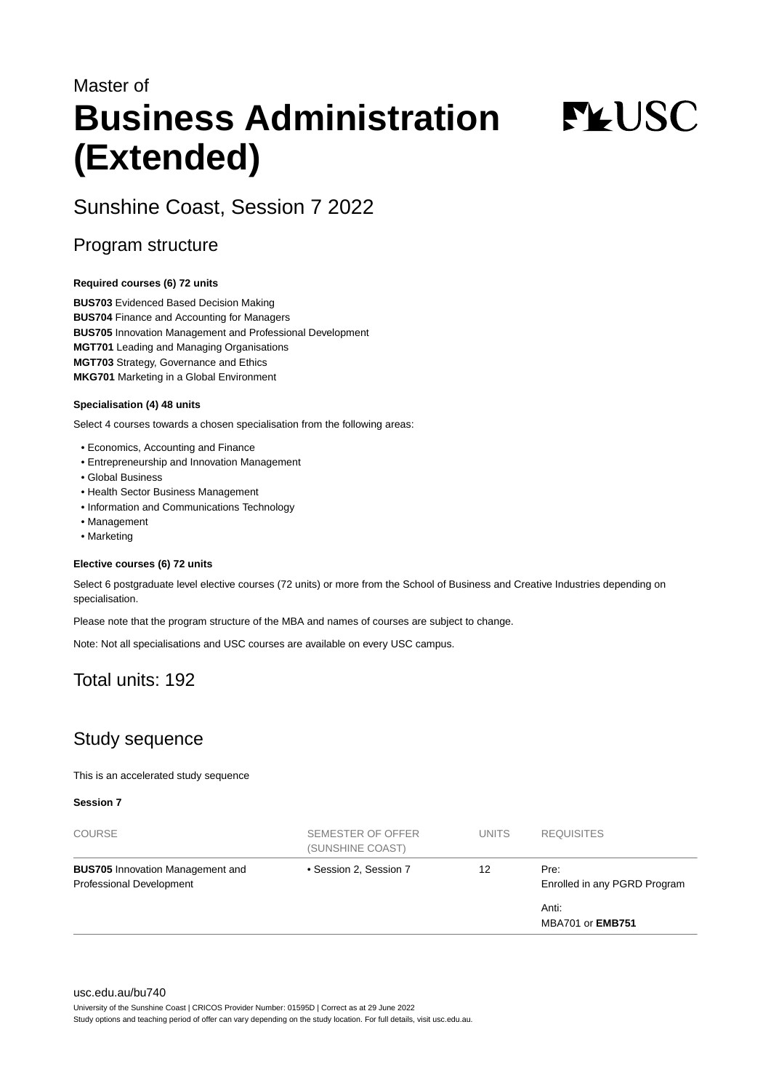# Master of **Business Administration (Extended)**

**FYUSC** 

# Sunshine Coast, Session 7 2022

### Program structure

#### **Required courses (6) 72 units**

**BUS703** Evidenced Based Decision Making **BUS704** Finance and Accounting for Managers **BUS705** Innovation Management and Professional Development **MGT701** Leading and Managing Organisations **MGT703** Strategy, Governance and Ethics **MKG701** Marketing in a Global Environment

#### **Specialisation (4) 48 units**

Select 4 courses towards a chosen specialisation from the following areas:

- Economics, Accounting and Finance
- Entrepreneurship and Innovation Management
- Global Business
- Health Sector Business Management
- Information and Communications Technology
- Management
- Marketing

#### **Elective courses (6) 72 units**

Select 6 postgraduate level elective courses (72 units) or more from the School of Business and Creative Industries depending on specialisation.

Please note that the program structure of the MBA and names of courses are subject to change.

Note: Not all specialisations and USC courses are available on every USC campus.

# Total units: 192

# Study sequence

This is an accelerated study sequence

**Session 7**

| <b>COURSE</b>                                                       | SEMESTER OF OFFER<br>(SUNSHINE COAST) | <b>UNITS</b> | <b>REQUISITES</b>                    |
|---------------------------------------------------------------------|---------------------------------------|--------------|--------------------------------------|
| <b>BUS705</b> Innovation Management and<br>Professional Development | • Session 2, Session 7                | 12           | Pre:<br>Enrolled in any PGRD Program |
|                                                                     |                                       |              | Anti:<br><b>MBA701 or EMB751</b>     |

#### [usc.edu.au/bu740](https://www.usc.edu.au/bu740)

University of the Sunshine Coast | CRICOS Provider Number: 01595D | Correct as at 29 June 2022

Study options and teaching period of offer can vary depending on the study location. For full details, visit usc.edu.au.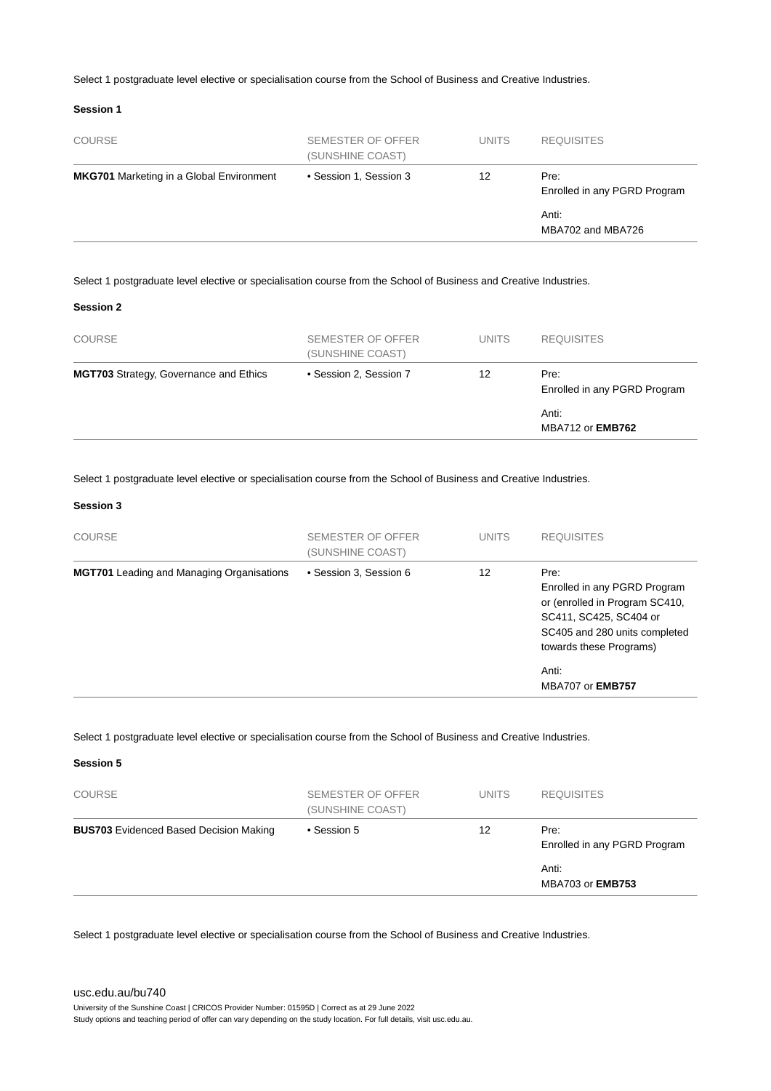Select 1 postgraduate level elective or specialisation course from the School of Business and Creative Industries.

#### **Session 1**

| <b>COURSE</b>                                   | SEMESTER OF OFFER<br>(SUNSHINE COAST) | <b>UNITS</b> | <b>REQUISITES</b>                    |
|-------------------------------------------------|---------------------------------------|--------------|--------------------------------------|
| <b>MKG701</b> Marketing in a Global Environment | • Session 1, Session 3                | 12           | Pre:<br>Enrolled in any PGRD Program |
|                                                 |                                       |              | Anti:<br>MBA702 and MBA726           |

Select 1 postgraduate level elective or specialisation course from the School of Business and Creative Industries.

#### **Session 2**

| <b>MGT703</b> Strategy, Governance and Ethics | • Session 2, Session 7 | 12           | Pre:              |
|-----------------------------------------------|------------------------|--------------|-------------------|
|                                               | (SUNSHINE COAST)       |              |                   |
| <b>COURSE</b>                                 | SEMESTER OF OFFER      | <b>UNITS</b> | <b>REQUISITES</b> |

Select 1 postgraduate level elective or specialisation course from the School of Business and Creative Industries.

#### **Session 3**

**Session 5**

| <b>COURSE</b>                                    | SEMESTER OF OFFER<br>(SUNSHINE COAST) | <b>UNITS</b> | <b>REQUISITES</b>                                                                                                                                            |
|--------------------------------------------------|---------------------------------------|--------------|--------------------------------------------------------------------------------------------------------------------------------------------------------------|
| <b>MGT701</b> Leading and Managing Organisations | • Session 3, Session 6                | 12           | Pre:<br>Enrolled in any PGRD Program<br>or (enrolled in Program SC410,<br>SC411, SC425, SC404 or<br>SC405 and 280 units completed<br>towards these Programs) |
|                                                  |                                       |              | Anti:<br><b>MBA707 or EMB757</b>                                                                                                                             |

Select 1 postgraduate level elective or specialisation course from the School of Business and Creative Industries.

| <b>COURSE</b>                                 | SEMESTER OF OFFER<br>(SUNSHINE COAST) | <b>UNITS</b> | <b>REQUISITES</b>                    |
|-----------------------------------------------|---------------------------------------|--------------|--------------------------------------|
| <b>BUS703</b> Evidenced Based Decision Making | • Session 5                           | 12           | Pre:<br>Enrolled in any PGRD Program |
|                                               |                                       |              | Anti:<br>MBA703 or <b>EMB753</b>     |

Select 1 postgraduate level elective or specialisation course from the School of Business and Creative Industries.